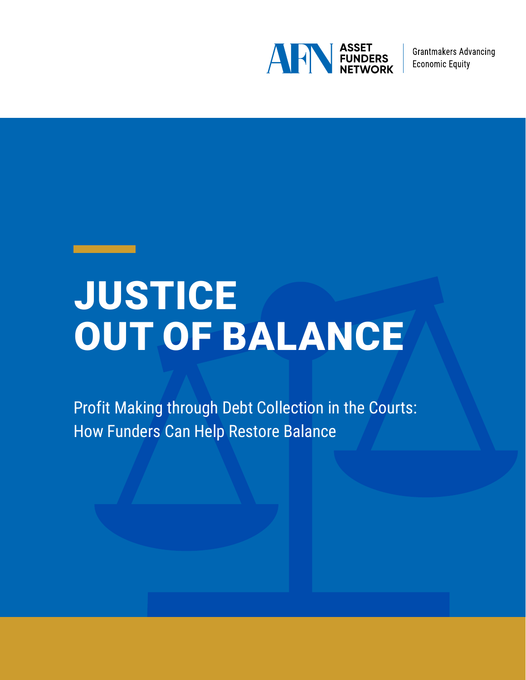

**Grantmakers Advancing Economic Equity** 

# JUSTICE OUT OF BALANCE

Profit Making through Debt Collection in the Courts: How Funders Can Help Restore Balance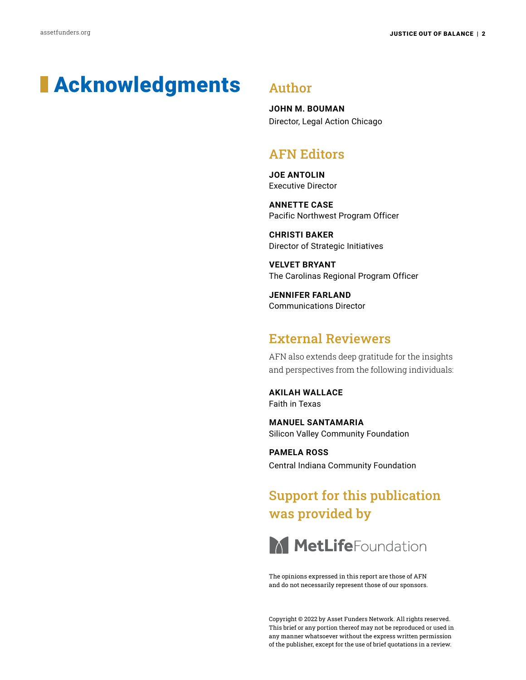# **Acknowledgments** Author

**JOHN M. BOUMAN** Director, Legal Action Chicago

### AFN Editors

**JOE ANTOLIN** Executive Director

**ANNETTE CASE** Pacific Northwest Program Officer

**CHRISTI BAKER** Director of Strategic Initiatives

**VELVET BRYANT** The Carolinas Regional Program Officer

**JENNIFER FARLAND** Communications Director

### External Reviewers

AFN also extends deep gratitude for the insights and perspectives from the following individuals:

**AKILAH WALLACE** Faith in Texas

**MANUEL SANTAMARIA** Silicon Valley Community Foundation

**PAMELA ROSS** Central Indiana Community Foundation

## Support for this publication was provided by



The opinions expressed in this report are those of AFN and do not necessarily represent those of our sponsors.

Copyright © 2022 by Asset Funders Network. All rights reserved. This brief or any portion thereof may not be reproduced or used in any manner whatsoever without the express written permission of the publisher, except for the use of brief quotations in a review.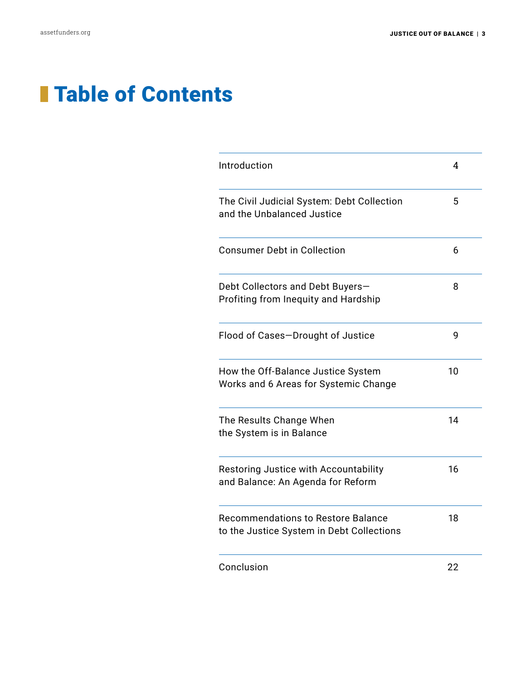# **Table of Contents**

| Introduction                                                                           | 4  |
|----------------------------------------------------------------------------------------|----|
| The Civil Judicial System: Debt Collection<br>and the Unbalanced Justice               | 5  |
| <b>Consumer Debt in Collection</b>                                                     | 6  |
| Debt Collectors and Debt Buyers-<br>Profiting from Inequity and Hardship               | 8  |
| Flood of Cases-Drought of Justice                                                      | 9  |
| How the Off-Balance Justice System<br>Works and 6 Areas for Systemic Change            | 10 |
| The Results Change When<br>the System is in Balance                                    | 14 |
| Restoring Justice with Accountability<br>and Balance: An Agenda for Reform             | 16 |
| <b>Recommendations to Restore Balance</b><br>to the Justice System in Debt Collections | 18 |
| Conclusion                                                                             | 22 |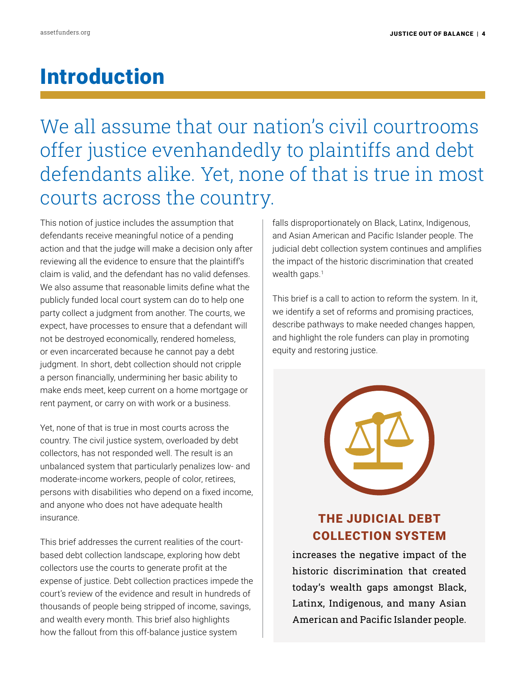# Introduction

We all assume that our nation's civil courtrooms offer justice evenhandedly to plaintiffs and debt defendants alike. Yet, none of that is true in most courts across the country.

This notion of justice includes the assumption that defendants receive meaningful notice of a pending action and that the judge will make a decision only after reviewing all the evidence to ensure that the plaintiff's claim is valid, and the defendant has no valid defenses. We also assume that reasonable limits define what the publicly funded local court system can do to help one party collect a judgment from another. The courts, we expect, have processes to ensure that a defendant will not be destroyed economically, rendered homeless, or even incarcerated because he cannot pay a debt judgment. In short, debt collection should not cripple a person financially, undermining her basic ability to make ends meet, keep current on a home mortgage or rent payment, or carry on with work or a business.

Yet, none of that is true in most courts across the country. The civil justice system, overloaded by debt collectors, has not responded well. The result is an unbalanced system that particularly penalizes low- and moderate-income workers, people of color, retirees, persons with disabilities who depend on a fixed income, and anyone who does not have adequate health insurance.

This brief addresses the current realities of the courtbased debt collection landscape, exploring how debt collectors use the courts to generate profit at the expense of justice. Debt collection practices impede the court's review of the evidence and result in hundreds of thousands of people being stripped of income, savings, and wealth every month. This brief also highlights how the fallout from this off-balance justice system

falls disproportionately on Black, Latinx, Indigenous, and Asian American and Pacific Islander people. The judicial debt collection system continues and amplifies the impact of the historic discrimination that created wealth gaps.<sup>1</sup>

This brief is a call to action to reform the system. In it, we identify a set of reforms and promising practices, describe pathways to make needed changes happen, and highlight the role funders can play in promoting equity and restoring justice.



## THE JUDICIAL DEBT COLLECTION SYSTEM

increases the negative impact of the historic discrimination that created today's wealth gaps amongst Black, Latinx, Indigenous, and many Asian American and Pacific Islander people.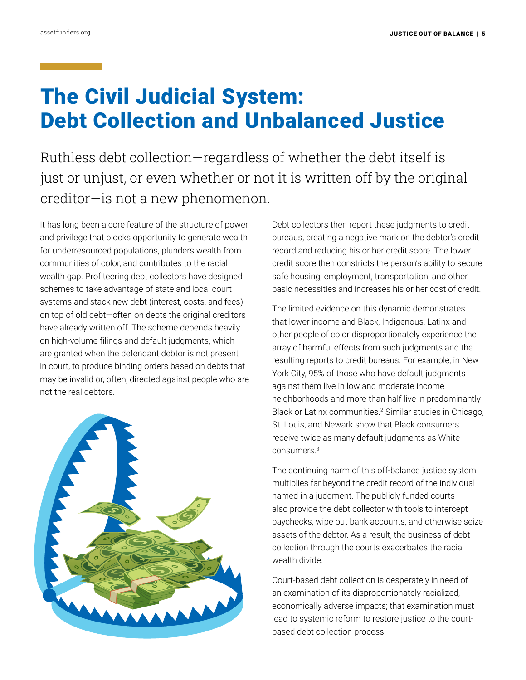# The Civil Judicial System: Debt Collection and Unbalanced Justice

Ruthless debt collection—regardless of whether the debt itself is just or unjust, or even whether or not it is written off by the original creditor—is not a new phenomenon.

It has long been a core feature of the structure of power and privilege that blocks opportunity to generate wealth for underresourced populations, plunders wealth from communities of color, and contributes to the racial wealth gap. Profiteering debt collectors have designed schemes to take advantage of state and local court systems and stack new debt (interest, costs, and fees) on top of old debt—often on debts the original creditors have already written off. The scheme depends heavily on high-volume filings and default judgments, which are granted when the defendant debtor is not present in court, to produce binding orders based on debts that may be invalid or, often, directed against people who are not the real debtors.



Debt collectors then report these judgments to credit bureaus, creating a negative mark on the debtor's credit record and reducing his or her credit score. The lower credit score then constricts the person's ability to secure safe housing, employment, transportation, and other basic necessities and increases his or her cost of credit.

The limited evidence on this dynamic demonstrates that lower income and Black, Indigenous, Latinx and other people of color disproportionately experience the array of harmful effects from such judgments and the resulting reports to credit bureaus. For example, in New York City, 95% of those who have default judgments against them live in low and moderate income neighborhoods and more than half live in predominantly Black or Latinx communities.<sup>2</sup> Similar studies in Chicago, St. Louis, and Newark show that Black consumers receive twice as many default judgments as White consumers.3

The continuing harm of this off-balance justice system multiplies far beyond the credit record of the individual named in a judgment. The publicly funded courts also provide the debt collector with tools to intercept paychecks, wipe out bank accounts, and otherwise seize assets of the debtor. As a result, the business of debt collection through the courts exacerbates the racial wealth divide.

Court-based debt collection is desperately in need of an examination of its disproportionately racialized, economically adverse impacts; that examination must lead to systemic reform to restore justice to the courtbased debt collection process.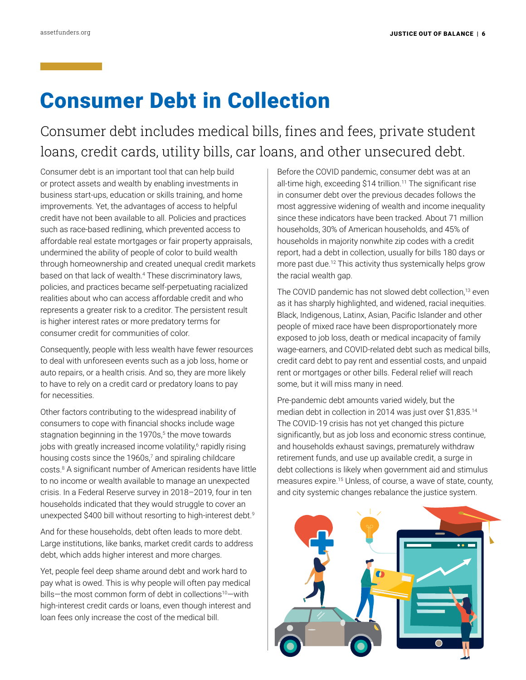# Consumer Debt in Collection

Consumer debt includes medical bills, fines and fees, private student loans, credit cards, utility bills, car loans, and other unsecured debt.

Consumer debt is an important tool that can help build or protect assets and wealth by enabling investments in business start-ups, education or skills training, and home improvements. Yet, the advantages of access to helpful credit have not been available to all. Policies and practices such as race-based redlining, which prevented access to affordable real estate mortgages or fair property appraisals, undermined the ability of people of color to build wealth through homeownership and created unequal credit markets based on that lack of wealth.4 These discriminatory laws, policies, and practices became self-perpetuating racialized realities about who can access affordable credit and who represents a greater risk to a creditor. The persistent result is higher interest rates or more predatory terms for consumer credit for communities of color.

Consequently, people with less wealth have fewer resources to deal with unforeseen events such as a job loss, home or auto repairs, or a health crisis. And so, they are more likely to have to rely on a credit card or predatory loans to pay for necessities.

Other factors contributing to the widespread inability of consumers to cope with financial shocks include wage stagnation beginning in the 1970s,<sup>5</sup> the move towards jobs with greatly increased income volatility,<sup>6</sup> rapidly rising housing costs since the 1960s,<sup>7</sup> and spiraling childcare costs.8 A significant number of American residents have little to no income or wealth available to manage an unexpected crisis. In a Federal Reserve survey in 2018–2019, four in ten households indicated that they would struggle to cover an unexpected \$400 bill without resorting to high-interest debt.9

And for these households, debt often leads to more debt. Large institutions, like banks, market credit cards to address debt, which adds higher interest and more charges.

Yet, people feel deep shame around debt and work hard to pay what is owed. This is why people will often pay medical bills-the most common form of debt in collections<sup>10</sup>-with high-interest credit cards or loans, even though interest and loan fees only increase the cost of the medical bill.

Before the COVID pandemic, consumer debt was at an all-time high, exceeding \$14 trillion.<sup>11</sup> The significant rise in consumer debt over the previous decades follows the most aggressive widening of wealth and income inequality since these indicators have been tracked. About 71 million households, 30% of American households, and 45% of households in majority nonwhite zip codes with a credit report, had a debt in collection, usually for bills 180 days or more past due.12 This activity thus systemically helps grow the racial wealth gap.

The COVID pandemic has not slowed debt collection,<sup>13</sup> even as it has sharply highlighted, and widened, racial inequities. Black, Indigenous, Latinx, Asian, Pacific Islander and other people of mixed race have been disproportionately more exposed to job loss, death or medical incapacity of family wage-earners, and COVID-related debt such as medical bills, credit card debt to pay rent and essential costs, and unpaid rent or mortgages or other bills. Federal relief will reach some, but it will miss many in need.

Pre-pandemic debt amounts varied widely, but the median debt in collection in 2014 was just over \$1,835.14 The COVID-19 crisis has not yet changed this picture significantly, but as job loss and economic stress continue, and households exhaust savings, prematurely withdraw retirement funds, and use up available credit, a surge in debt collections is likely when government aid and stimulus measures expire.15 Unless, of course, a wave of state, county, and city systemic changes rebalance the justice system.

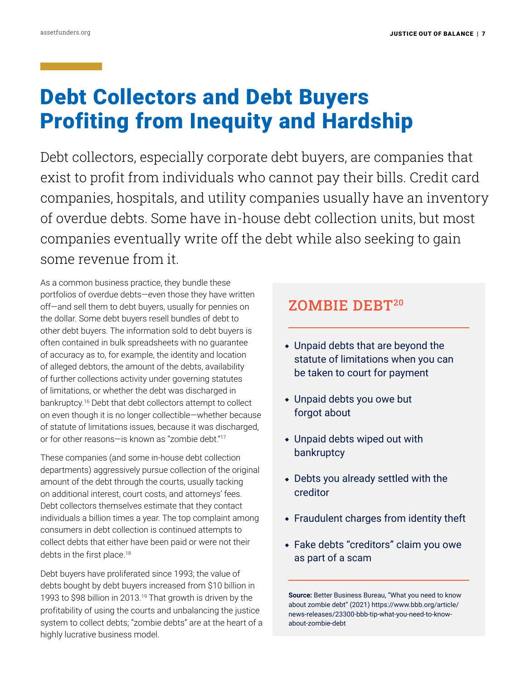# Debt Collectors and Debt Buyers Profiting from Inequity and Hardship

Debt collectors, especially corporate debt buyers, are companies that exist to profit from individuals who cannot pay their bills. Credit card companies, hospitals, and utility companies usually have an inventory of overdue debts. Some have in-house debt collection units, but most companies eventually write off the debt while also seeking to gain some revenue from it.

As a common business practice, they bundle these portfolios of overdue debts—even those they have written off—and sell them to debt buyers, usually for pennies on the dollar. Some debt buyers resell bundles of debt to other debt buyers. The information sold to debt buyers is often contained in bulk spreadsheets with no guarantee of accuracy as to, for example, the identity and location of alleged debtors, the amount of the debts, availability of further collections activity under governing statutes of limitations, or whether the debt was discharged in bankruptcy.16 Debt that debt collectors attempt to collect on even though it is no longer collectible—whether because of statute of limitations issues, because it was discharged, or for other reasons—is known as "zombie debt."17

These companies (and some in-house debt collection departments) aggressively pursue collection of the original amount of the debt through the courts, usually tacking on additional interest, court costs, and attorneys' fees. Debt collectors themselves estimate that they contact individuals a billion times a year. The top complaint among consumers in debt collection is continued attempts to collect debts that either have been paid or were not their debts in the first place.<sup>18</sup>

Debt buyers have proliferated since 1993; the value of debts bought by debt buyers increased from \$10 billion in 1993 to \$98 billion in 2013.<sup>19</sup> That growth is driven by the profitability of using the courts and unbalancing the justice system to collect debts; "zombie debts" are at the heart of a highly lucrative business model.

## ZOMBIE DEBT20

- $\bullet$  Unpaid debts that are beyond the statute of limitations when you can be taken to court for payment
- $\bullet$  Unpaid debts you owe but forgot about
- $\bullet$  Unpaid debts wiped out with bankruptcy
- $\bullet$  Debts you already settled with the creditor
- $\bullet$  Fraudulent charges from identity theft
- Fake debts "creditors" claim you owe as part of a scam

**Source:** Better Business Bureau, "What you need to know about zombie debt" (2021) [https://www.bbb.org/article/](https://www.bbb.org/article/news-releases/23300-bbb-tip-what-you-need-to-know-about-zombie-debt) [news-releases/23300-bbb-tip-what-you-need-to-know](https://www.bbb.org/article/news-releases/23300-bbb-tip-what-you-need-to-know-about-zombie-debt)[about-zombie-debt](https://www.bbb.org/article/news-releases/23300-bbb-tip-what-you-need-to-know-about-zombie-debt)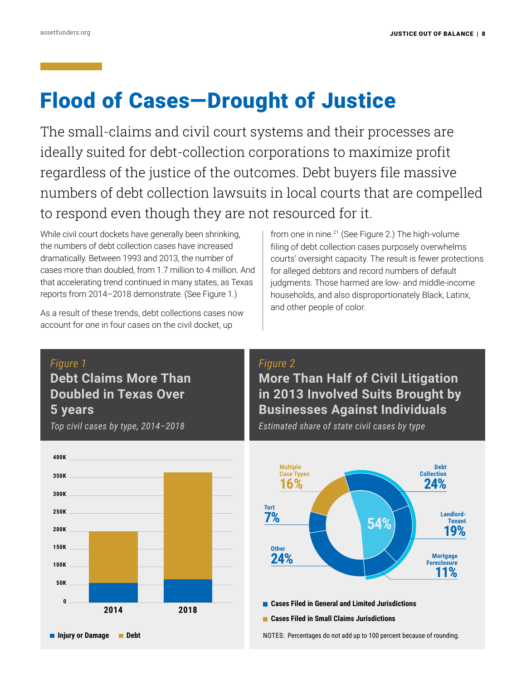# Flood of Cases—Drought of Justice

The small-claims and civil court systems and their processes are ideally suited for debt-collection corporations to maximize profit regardless of the justice of the outcomes. Debt buyers file massive numbers of debt collection lawsuits in local courts that are compelled to respond even though they are not resourced for it.

While civil court dockets have generally been shrinking, the numbers of debt collection cases have increased dramatically. Between 1993 and 2013, the number of cases more than doubled, from 1.7 million to 4 million. And that accelerating trend continued in many states, as Texas reports from 2014–2018 demonstrate. (See Figure 1.)

As a result of these trends, debt collections cases now account for one in four cases on the civil docket, up

from one in nine.21 (See Figure 2.) The high-volume filing of debt collection cases purposely overwhelms courts' oversight capacity. The result is fewer protections for alleged debtors and record numbers of default judgments. Those harmed are low- and middle-income households, and also disproportionately Black, Latinx, and other people of color.

### *Figure 1*

**Debt Claims More Than Doubled in Texas Over 5 years**

*Top civil cases by type, 2014–2018*



### *Figure 2*

**More Than Half of Civil Litigation in 2013 Involved Suits Brought by Businesses Against Individuals**

*Estimated share of state civil cases by type*

**54% 54% Multiple Case Types 16% Debt Collection 24% Landlord-Tenant 19% Mortgage Foreclosure 11% Tort 7% Other 24%**

 **Cases Filed in General and Limited Jurisdictions** 

 **Cases Filed in Small Claims Jurisdictions**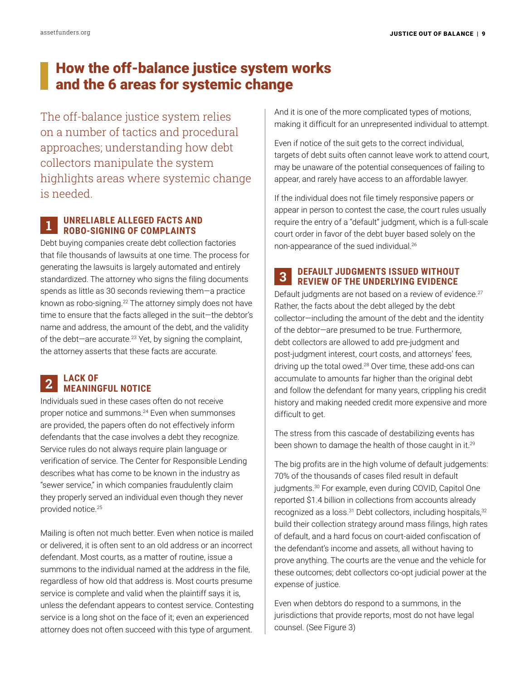## How the off-balance justice system works and the 6 areas for systemic change

The off-balance justice system relies on a number of tactics and procedural approaches; understanding how debt collectors manipulate the system highlights areas where systemic change is needed.

### **UNRELIABLE ALLEGED FACTS AND ROBO-SIGNING OF COMPLAINTS** 1

Debt buying companies create debt collection factories that file thousands of lawsuits at one time. The process for generating the lawsuits is largely automated and entirely standardized. The attorney who signs the filing documents spends as little as 30 seconds reviewing them—a practice known as robo-signing.<sup>22</sup> The attorney simply does not have time to ensure that the facts alleged in the suit—the debtor's name and address, the amount of the debt, and the validity of the debt-are accurate.<sup>23</sup> Yet, by signing the complaint, the attorney asserts that these facts are accurate.

### **LACK OF MEANINGFUL NOTICE** 2

Individuals sued in these cases often do not receive proper notice and summons.<sup>24</sup> Even when summonses are provided, the papers often do not effectively inform defendants that the case involves a debt they recognize. Service rules do not always require plain language or verification of service. The Center for Responsible Lending describes what has come to be known in the industry as "sewer service," in which companies fraudulently claim they properly served an individual even though they never provided notice.25

Mailing is often not much better. Even when notice is mailed or delivered, it is often sent to an old address or an incorrect defendant. Most courts, as a matter of routine, issue a summons to the individual named at the address in the file, regardless of how old that address is. Most courts presume service is complete and valid when the plaintiff says it is, unless the defendant appears to contest service. Contesting service is a long shot on the face of it; even an experienced attorney does not often succeed with this type of argument.

And it is one of the more complicated types of motions, making it difficult for an unrepresented individual to attempt.

Even if notice of the suit gets to the correct individual, targets of debt suits often cannot leave work to attend court, may be unaware of the potential consequences of failing to appear, and rarely have access to an affordable lawyer.

If the individual does not file timely responsive papers or appear in person to contest the case, the court rules usually require the entry of a "default" judgment, which is a full-scale court order in favor of the debt buyer based solely on the non-appearance of the sued individual.26

### **DEFAULT JUDGMENTS ISSUED WITHOUT REVIEW OF THE UNDERLYING EVIDENCE** 3

Default judgments are not based on a review of evidence.<sup>27</sup> Rather, the facts about the debt alleged by the debt collector—including the amount of the debt and the identity of the debtor—are presumed to be true. Furthermore, debt collectors are allowed to add pre-judgment and post-judgment interest, court costs, and attorneys' fees, driving up the total owed.28 Over time, these add-ons can accumulate to amounts far higher than the original debt and follow the defendant for many years, crippling his credit history and making needed credit more expensive and more difficult to get.

The stress from this cascade of destabilizing events has been shown to damage the health of those caught in it.<sup>29</sup>

The big profits are in the high volume of default judgements: 70% of the thousands of cases filed result in default judgments.<sup>30</sup> For example, even during COVID, Capitol One reported \$1.4 billion in collections from accounts already recognized as a loss.<sup>31</sup> Debt collectors, including hospitals,<sup>32</sup> build their collection strategy around mass filings, high rates of default, and a hard focus on court-aided confiscation of the defendant's income and assets, all without having to prove anything. The courts are the venue and the vehicle for these outcomes; debt collectors co-opt judicial power at the expense of justice.

Even when debtors do respond to a summons, in the jurisdictions that provide reports, most do not have legal counsel. (See Figure 3)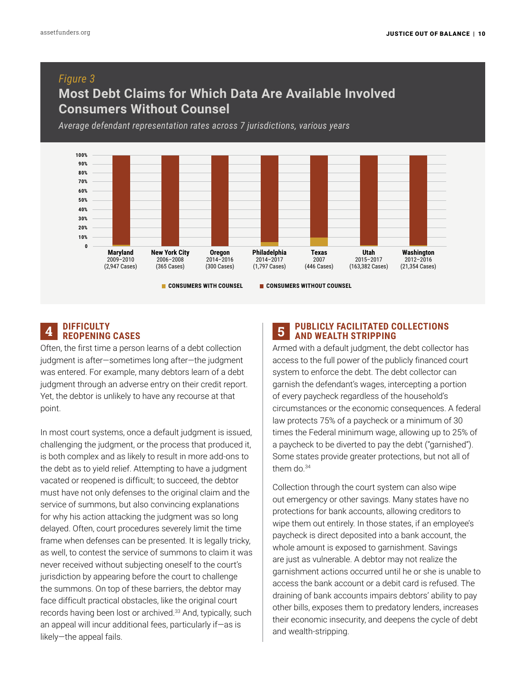### *Figure 3*

### **Most Debt Claims for Which Data Are Available Involved Consumers Without Counsel**

*Average defendant representation rates across 7 jurisdictions, various years*



### **DIFFICULTY A REOPENING CASES**

Often, the first time a person learns of a debt collection judgment is after—sometimes long after—the judgment was entered. For example, many debtors learn of a debt judgment through an adverse entry on their credit report. Yet, the debtor is unlikely to have any recourse at that point.

In most court systems, once a default judgment is issued, challenging the judgment, or the process that produced it, is both complex and as likely to result in more add-ons to the debt as to yield relief. Attempting to have a judgment vacated or reopened is difficult; to succeed, the debtor must have not only defenses to the original claim and the service of summons, but also convincing explanations for why his action attacking the judgment was so long delayed. Often, court procedures severely limit the time frame when defenses can be presented. It is legally tricky, as well, to contest the service of summons to claim it was never received without subjecting oneself to the court's jurisdiction by appearing before the court to challenge the summons. On top of these barriers, the debtor may face difficult practical obstacles, like the original court records having been lost or archived.<sup>33</sup> And, typically, such an appeal will incur additional fees, particularly if—as is likely—the appeal fails.

### **5** PUBLICLY FACILITATED COLLECTIONS  **AND WEALTH STRIPPING**

Armed with a default judgment, the debt collector has access to the full power of the publicly financed court system to enforce the debt. The debt collector can garnish the defendant's wages, intercepting a portion of every paycheck regardless of the household's circumstances or the economic consequences. A federal law protects 75% of a paycheck or a minimum of 30 times the Federal minimum wage, allowing up to 25% of a paycheck to be diverted to pay the debt ("garnished"). Some states provide greater protections, but not all of them do.<sup>34</sup>

Collection through the court system can also wipe out emergency or other savings. Many states have no protections for bank accounts, allowing creditors to wipe them out entirely. In those states, if an employee's paycheck is direct deposited into a bank account, the whole amount is exposed to garnishment. Savings are just as vulnerable. A debtor may not realize the garnishment actions occurred until he or she is unable to access the bank account or a debit card is refused. The draining of bank accounts impairs debtors' ability to pay other bills, exposes them to predatory lenders, increases their economic insecurity, and deepens the cycle of debt and wealth-stripping.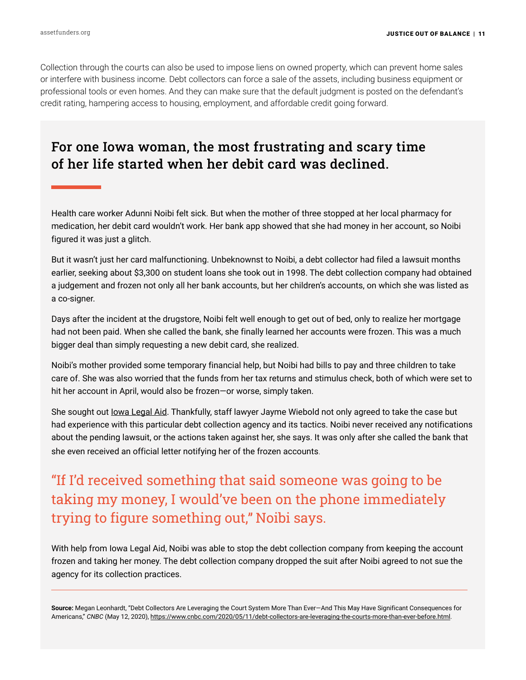Collection through the courts can also be used to impose liens on owned property, which can prevent home sales or interfere with business income. Debt collectors can force a sale of the assets, including business equipment or professional tools or even homes. And they can make sure that the default judgment is posted on the defendant's credit rating, hampering access to housing, employment, and affordable credit going forward.

## For one Iowa woman, the most frustrating and scary time of her life started when her debit card was declined.

Health care worker Adunni Noibi felt sick. But when the mother of three stopped at her local pharmacy for medication, her debit card wouldn't work. Her bank app showed that she had money in her account, so Noibi figured it was just a glitch.

But it wasn't just her card malfunctioning. Unbeknownst to Noibi, a debt collector had filed a lawsuit months earlier, seeking about \$3,300 on student loans she took out in 1998. The debt collection company had obtained a judgement and frozen not only all her bank accounts, but her children's accounts, on which she was listed as a co-signer.

Days after the incident at the drugstore, Noibi felt well enough to get out of bed, only to realize her mortgage had not been paid. When she called the bank, she finally learned her accounts were frozen. This was a much bigger deal than simply requesting a new debit card, she realized.

Noibi's mother provided some temporary financial help, but Noibi had bills to pay and three children to take care of. She was also worried that the funds from her tax returns and stimulus check, both of which were set to hit her account in April, would also be frozen—or worse, simply taken.

She sought out [Iowa Legal Aid](https://www.iowalegalaid.org). Thankfully, staff lawyer Jayme Wiebold not only agreed to take the case but had experience with this particular debt collection agency and its tactics. Noibi never received any notifications about the pending lawsuit, or the actions taken against her, she says. It was only after she called the bank that she even received an official letter notifying her of the frozen accounts.

## "If I'd received something that said someone was going to be taking my money, I would've been on the phone immediately trying to figure something out," Noibi says.

With help from Iowa Legal Aid, Noibi was able to stop the debt collection company from keeping the account frozen and taking her money. The debt collection company dropped the suit after Noibi agreed to not sue the agency for its collection practices.

**Source:** Megan Leonhardt, "Debt Collectors Are Leveraging the Court System More Than Ever—And This May Have Significant Consequences for Americans," *CNBC* (May 12, 2020), <https://www.cnbc.com/2020/05/11/debt-collectors-are-leveraging-the-courts-more-than-ever-before.html>.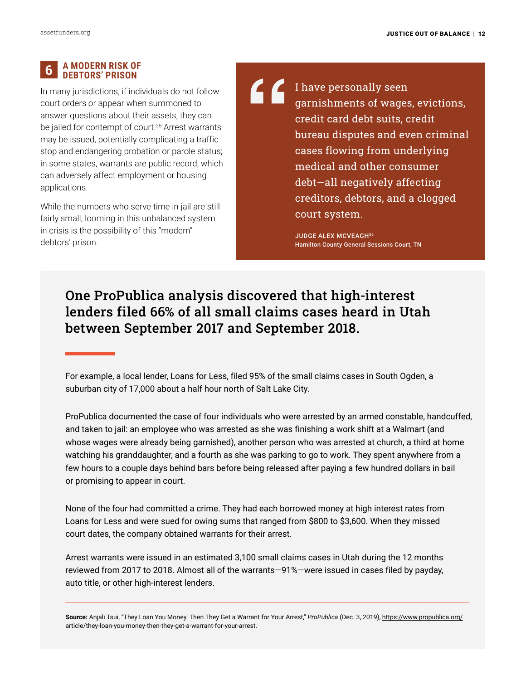#### 6  **A MODERN RISK OF DEBTORS' PRISON**

In many jurisdictions, if individuals do not follow court orders or appear when summoned to answer questions about their assets, they can be jailed for contempt of court.<sup>35</sup> Arrest warrants may be issued, potentially complicating a traffic stop and endangering probation or parole status; in some states, warrants are public record, which can adversely affect employment or housing applications.

While the numbers who serve time in jail are still fairly small, looming in this unbalanced system in crisis is the possibility of this "modern" debtors' prison.

ረ ረ I have personally seen garnishments of wages, evictions, credit card debt suits, credit bureau disputes and even criminal cases flowing from underlying medical and other consumer debt—all negatively affecting creditors, debtors, and a clogged court system.

> JUDGE ALEX MCVEAGH36 Hamilton County General Sessions Court, TN

## One ProPublica analysis discovered that high-interest lenders filed 66% of all small claims cases heard in Utah between September 2017 and September 2018.

For example, a local lender, Loans for Less, filed 95% of the small claims cases in South Ogden, a suburban city of 17,000 about a half hour north of Salt Lake City.

ProPublica documented the case of four individuals who were arrested by an armed constable, handcuffed, and taken to jail: an employee who was arrested as she was finishing a work shift at a Walmart (and whose wages were already being garnished), another person who was arrested at church, a third at home watching his granddaughter, and a fourth as she was parking to go to work. They spent anywhere from a few hours to a couple days behind bars before being released after paying a few hundred dollars in bail or promising to appear in court.

None of the four had committed a crime. They had each borrowed money at high interest rates from Loans for Less and were sued for owing sums that ranged from \$800 to \$3,600. When they missed court dates, the company obtained warrants for their arrest.

Arrest warrants were issued in an estimated 3,100 small claims cases in Utah during the 12 months reviewed from 2017 to 2018. Almost all of the warrants—91%—were issued in cases filed by payday, auto title, or other high-interest lenders.

**Source:** Anjali Tsui, "They Loan You Money. Then They Get a Warrant for Your Arrest," *ProPublica* (Dec. 3, 2019), [https://www.propublica.org/](https://www.propublica.org/article/they-loan-you-money-then-they-get-a-warrant-for-your-arrest) [article/they-loan-you-money-then-they-get-a-warrant-for-your-arrest.](https://www.propublica.org/article/they-loan-you-money-then-they-get-a-warrant-for-your-arrest)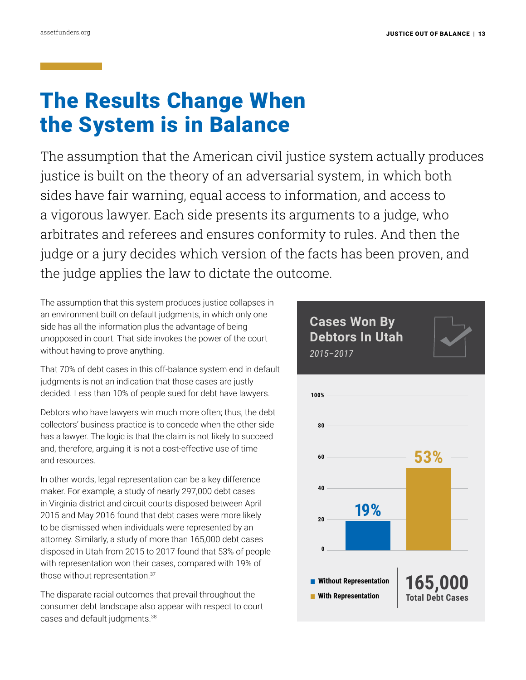# The Results Change When the System is in Balance

The assumption that the American civil justice system actually produces justice is built on the theory of an adversarial system, in which both sides have fair warning, equal access to information, and access to a vigorous lawyer. Each side presents its arguments to a judge, who arbitrates and referees and ensures conformity to rules. And then the judge or a jury decides which version of the facts has been proven, and the judge applies the law to dictate the outcome.

The assumption that this system produces justice collapses in an environment built on default judgments, in which only one side has all the information plus the advantage of being unopposed in court. That side invokes the power of the court without having to prove anything.

That 70% of debt cases in this off-balance system end in default judgments is not an indication that those cases are justly decided. Less than 10% of people sued for debt have lawyers.

Debtors who have lawyers win much more often; thus, the debt collectors' business practice is to concede when the other side has a lawyer. The logic is that the claim is not likely to succeed and, therefore, arguing it is not a cost-effective use of time and resources.

In other words, legal representation can be a key difference maker. For example, a study of nearly 297,000 debt cases in Virginia district and circuit courts disposed between April 2015 and May 2016 found that debt cases were more likely to be dismissed when individuals were represented by an attorney. Similarly, a study of more than 165,000 debt cases disposed in Utah from 2015 to 2017 found that 53% of people with representation won their cases, compared with 19% of those without representation.37

The disparate racial outcomes that prevail throughout the consumer debt landscape also appear with respect to court cases and default judgments.<sup>38</sup>

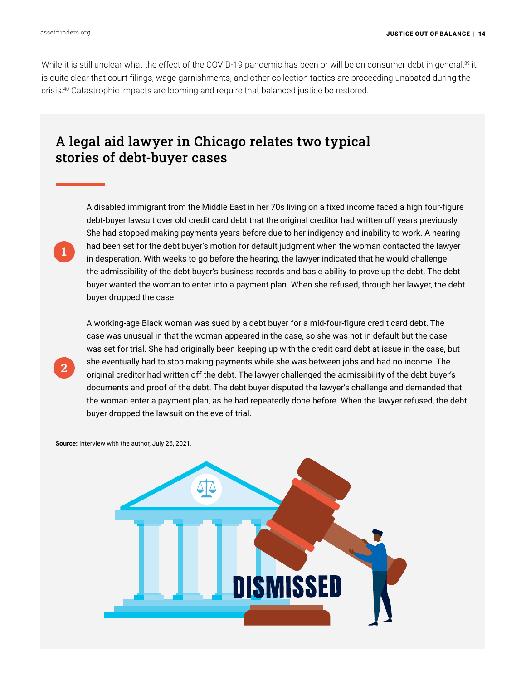1

2

While it is still unclear what the effect of the COVID-19 pandemic has been or will be on consumer debt in general,<sup>39</sup> it is quite clear that court filings, wage garnishments, and other collection tactics are proceeding unabated during the crisis.40 Catastrophic impacts are looming and require that balanced justice be restored.

## A legal aid lawyer in Chicago relates two typical stories of debt-buyer cases

A disabled immigrant from the Middle East in her 70s living on a fixed income faced a high four-figure debt-buyer lawsuit over old credit card debt that the original creditor had written off years previously. She had stopped making payments years before due to her indigency and inability to work. A hearing had been set for the debt buyer's motion for default judgment when the woman contacted the lawyer in desperation. With weeks to go before the hearing, the lawyer indicated that he would challenge the admissibility of the debt buyer's business records and basic ability to prove up the debt. The debt buyer wanted the woman to enter into a payment plan. When she refused, through her lawyer, the debt buyer dropped the case.

A working-age Black woman was sued by a debt buyer for a mid-four-figure credit card debt. The case was unusual in that the woman appeared in the case, so she was not in default but the case was set for trial. She had originally been keeping up with the credit card debt at issue in the case, but she eventually had to stop making payments while she was between jobs and had no income. The original creditor had written off the debt. The lawyer challenged the admissibility of the debt buyer's documents and proof of the debt. The debt buyer disputed the lawyer's challenge and demanded that the woman enter a payment plan, as he had repeatedly done before. When the lawyer refused, the debt buyer dropped the lawsuit on the eve of trial.

**Source:** Interview with the author, July 26, 2021.

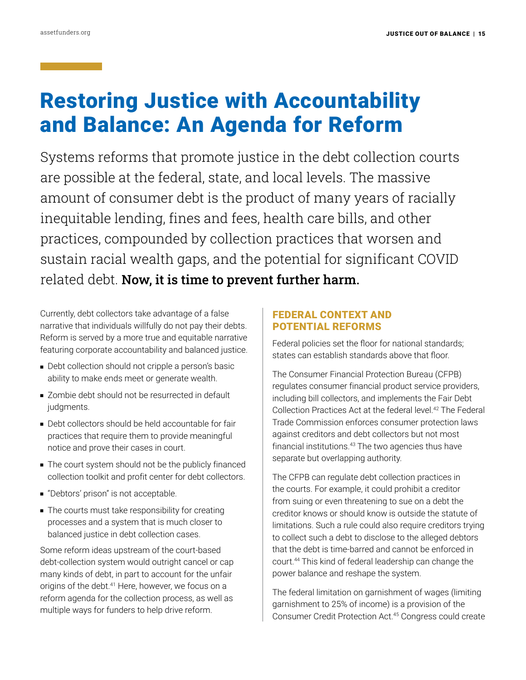# Restoring Justice with Accountability and Balance: An Agenda for Reform

Systems reforms that promote justice in the debt collection courts are possible at the federal, state, and local levels. The massive amount of consumer debt is the product of many years of racially inequitable lending, fines and fees, health care bills, and other practices, compounded by collection practices that worsen and sustain racial wealth gaps, and the potential for significant COVID related debt. Now, it is time to prevent further harm.

Currently, debt collectors take advantage of a false narrative that individuals willfully do not pay their debts. Reform is served by a more true and equitable narrative featuring corporate accountability and balanced justice.

- Debt collection should not cripple a person's basic ability to make ends meet or generate wealth.
- Zombie debt should not be resurrected in default judgments.
- Debt collectors should be held accountable for fair practices that require them to provide meaningful notice and prove their cases in court.
- The court system should not be the publicly financed collection toolkit and profit center for debt collectors.
- "Debtors' prison" is not acceptable.
- The courts must take responsibility for creating processes and a system that is much closer to balanced justice in debt collection cases.

Some reform ideas upstream of the court-based debt-collection system would outright cancel or cap many kinds of debt, in part to account for the unfair origins of the debt.<sup>41</sup> Here, however, we focus on a reform agenda for the collection process, as well as multiple ways for funders to help drive reform.

### FEDERAL CONTEXT AND POTENTIAL REFORMS

Federal policies set the floor for national standards; states can establish standards above that floor.

The Consumer Financial Protection Bureau (CFPB) regulates consumer financial product service providers, including bill collectors, and implements the Fair Debt Collection Practices Act at the federal level.42 The Federal Trade Commission enforces consumer protection laws against creditors and debt collectors but not most financial institutions.43 The two agencies thus have separate but overlapping authority.

The CFPB can regulate debt collection practices in the courts. For example, it could prohibit a creditor from suing or even threatening to sue on a debt the creditor knows or should know is outside the statute of limitations. Such a rule could also require creditors trying to collect such a debt to disclose to the alleged debtors that the debt is time-barred and cannot be enforced in court.44 This kind of federal leadership can change the power balance and reshape the system.

The federal limitation on garnishment of wages (limiting garnishment to 25% of income) is a provision of the Consumer Credit Protection Act.45 Congress could create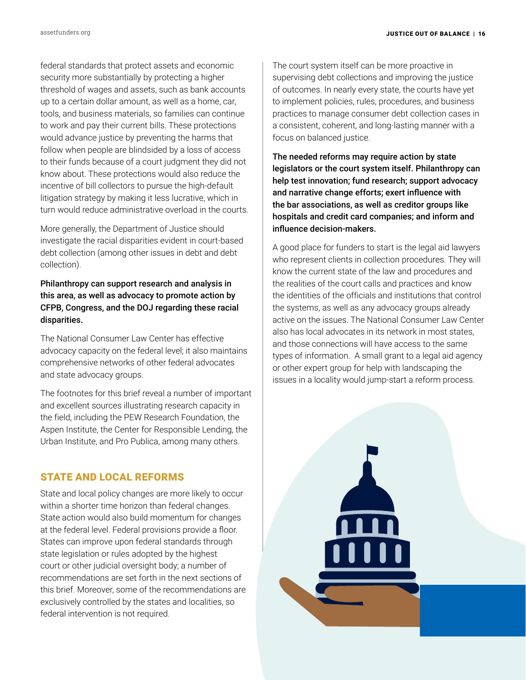federal standards that protect assets and economic security more substantially by protecting a higher threshold of wages and assets, such as bank accounts up to a certain dollar amount, as well as a home, car, tools, and business materials, so families can continue to work and pay their current bills. These protections would advance justice by preventing the harms that follow when people are blindsided by a loss of access to their funds because of a court judgment they did not know about. These protections would also reduce the incentive of bill collectors to pursue the high-default litigation strategy by making it less lucrative, which in turn would reduce administrative overload in the courts.

More generally, the Department of Justice should investigate the racial disparities evident in court-based debt collection (among other issues in debt and debt collection).

Philanthropy can support research and analysis in this area, as well as advocacy to promote action by CFPB, Congress, and the DOJ regarding these racial disparities.

The National Consumer Law Center has effective advocacy capacity on the federal level; it also maintains comprehensive networks of other federal advocates and state advocacy groups.

The footnotes for this brief reveal a number of important and excellent sources illustrating research capacity in the field, including the PEW Research Foundation, the Aspen Institute, the Center for Responsible Lending, the Urban Institute, and Pro Publica, among many others.

### STATE AND LOCAL REFORMS

State and local policy changes are more likely to occur within a shorter time horizon than federal changes. State action would also build momentum for changes at the federal level. Federal provisions provide a floor. States can improve upon federal standards through state legislation or rules adopted by the highest court or other judicial oversight body; a number of recommendations are set forth in the next sections of this brief. Moreover, some of the recommendations are exclusively controlled by the states and localities, so federal intervention is not required.

The court system itself can be more proactive in supervising debt collections and improving the justice of outcomes. In nearly every state, the courts have yet to implement policies, rules, procedures, and business practices to manage consumer debt collection cases in a consistent, coherent, and long-lasting manner with a focus on balanced justice.

The needed reforms may require action by state legislators or the court system itself. Philanthropy can help test innovation; fund research; support advocacy and narrative change efforts; exert influence with the bar associations, as well as creditor groups like hospitals and credit card companies; and inform and influence decision-makers.

A good place for funders to start is the legal aid lawyers who represent clients in collection procedures. They will know the current state of the law and procedures and the realities of the court calls and practices and know the identities of the officials and institutions that control the systems, as well as any advocacy groups already active on the issues. The National Consumer Law Center also has local advocates in its network in most states, and those connections will have access to the same types of information. A small grant to a legal aid agency or other expert group for help with landscaping the issues in a locality would jump-start a reform process.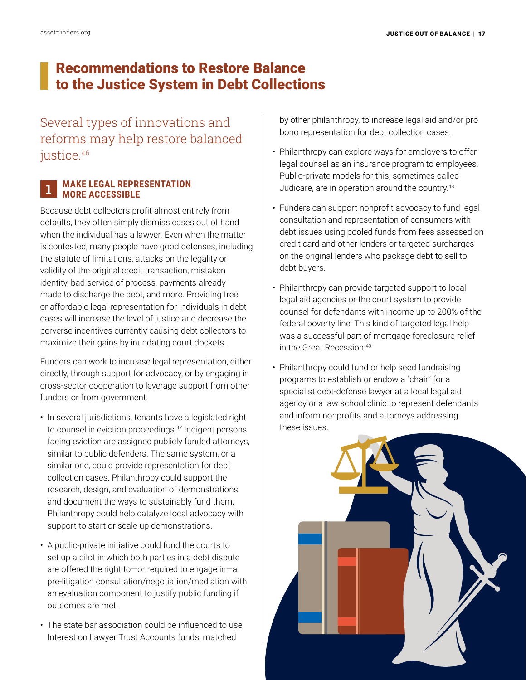## Recommendations to Restore Balance to the Justice System in Debt Collections

Several types of innovations and reforms may help restore balanced justice.<sup>46</sup>

### **MAKE LEGAL REPRESENTATION MORE ACCESSIBLE** 1

Because debt collectors profit almost entirely from defaults, they often simply dismiss cases out of hand when the individual has a lawyer. Even when the matter is contested, many people have good defenses, including the statute of limitations, attacks on the legality or validity of the original credit transaction, mistaken identity, bad service of process, payments already made to discharge the debt, and more. Providing free or affordable legal representation for individuals in debt cases will increase the level of justice and decrease the perverse incentives currently causing debt collectors to maximize their gains by inundating court dockets.

Funders can work to increase legal representation, either directly, through support for advocacy, or by engaging in cross-sector cooperation to leverage support from other funders or from government.

- In several jurisdictions, tenants have a legislated right to counsel in eviction proceedings.<sup>47</sup> Indigent persons facing eviction are assigned publicly funded attorneys, similar to public defenders. The same system, or a similar one, could provide representation for debt collection cases. Philanthropy could support the research, design, and evaluation of demonstrations and document the ways to sustainably fund them. Philanthropy could help catalyze local advocacy with support to start or scale up demonstrations.
- A public-private initiative could fund the courts to set up a pilot in which both parties in a debt dispute are offered the right to—or required to engage in—a pre-litigation consultation/negotiation/mediation with an evaluation component to justify public funding if outcomes are met.
- The state bar association could be influenced to use Interest on Lawyer Trust Accounts funds, matched

by other philanthropy, to increase legal aid and/or pro bono representation for debt collection cases.

- Philanthropy can explore ways for employers to offer legal counsel as an insurance program to employees. Public-private models for this, sometimes called Judicare, are in operation around the country.48
- Funders can support nonprofit advocacy to fund legal consultation and representation of consumers with debt issues using pooled funds from fees assessed on credit card and other lenders or targeted surcharges on the original lenders who package debt to sell to debt buyers.
- Philanthropy can provide targeted support to local legal aid agencies or the court system to provide counsel for defendants with income up to 200% of the federal poverty line. This kind of targeted legal help was a successful part of mortgage foreclosure relief in the Great Recession.49
- Philanthropy could fund or help seed fundraising programs to establish or endow a "chair" for a specialist debt-defense lawyer at a local legal aid agency or a law school clinic to represent defendants and inform nonprofits and attorneys addressing these issues.

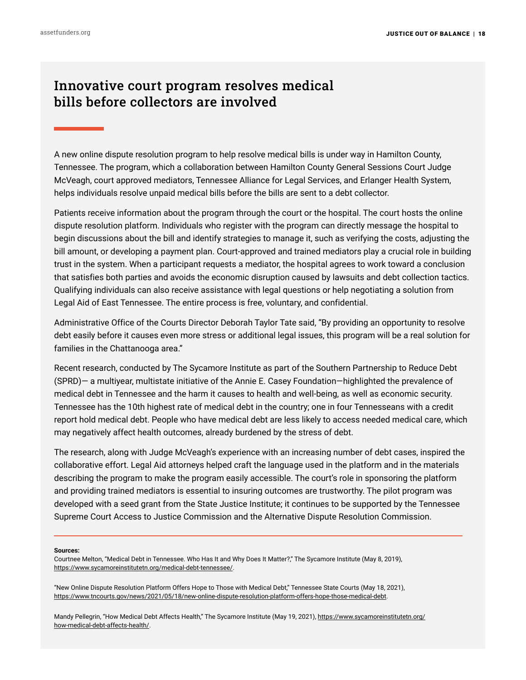## Innovative court program resolves medical bills before collectors are involved

A new online dispute resolution program to help resolve medical bills is under way in Hamilton County, Tennessee. The program, which a collaboration between Hamilton County General Sessions Court Judge McVeagh, court approved mediators, Tennessee Alliance for Legal Services, and Erlanger Health System, helps individuals resolve unpaid medical bills before the bills are sent to a debt collector.

Patients receive information about the program through the court or the hospital. The court hosts the online dispute resolution platform. Individuals who register with the program can directly message the hospital to begin discussions about the bill and identify strategies to manage it, such as verifying the costs, adjusting the bill amount, or developing a payment plan. Court-approved and trained mediators play a crucial role in building trust in the system. When a participant requests a mediator, the hospital agrees to work toward a conclusion that satisfies both parties and avoids the economic disruption caused by lawsuits and debt collection tactics. Qualifying individuals can also receive assistance with legal questions or help negotiating a solution from Legal Aid of East Tennessee. The entire process is free, voluntary, and confidential.

Administrative Office of the Courts Director Deborah Taylor Tate said, "By providing an opportunity to resolve debt easily before it causes even more stress or additional legal issues, this program will be a real solution for families in the Chattanooga area."

Recent research, conducted by The Sycamore Institute as part of the Southern Partnership to Reduce Debt (SPRD)— a multiyear, multistate initiative of the Annie E. Casey Foundation—highlighted the prevalence of medical debt in Tennessee and the harm it causes to health and well-being, as well as economic security. Tennessee has the 10th highest rate of medical debt in the country; one in four Tennesseans with a credit report hold medical debt. People who have medical debt are less likely to access needed medical care, which may negatively affect health outcomes, already burdened by the stress of debt.

The research, along with Judge McVeagh's experience with an increasing number of debt cases, inspired the collaborative effort. Legal Aid attorneys helped craft the language used in the platform and in the materials describing the program to make the program easily accessible. The court's role in sponsoring the platform and providing trained mediators is essential to insuring outcomes are trustworthy. The pilot program was developed with a seed grant from the State Justice Institute; it continues to be supported by the Tennessee Supreme Court Access to Justice Commission and the Alternative Dispute Resolution Commission.

### **Sources:**

Courtnee Melton, "Medical Debt in Tennessee. Who Has It and Why Does It Matter?," The Sycamore Institute (May 8, 2019), [https://www.sycamoreinstitutetn.org/medical-debt-t](https://www.sycamoreinstitutetn.org/medical-debt-)ennessee/.

"New Online Dispute Resolution Platform Offers Hope to Those with Medical Debt," Tennessee State Courts (May 18, 2021), [https://www.tncourts.gov/news/2021/05/18/new-online-dispute-resolution-platform-offers-hope-those-medical-debt.](https://www.tncourts.gov/news/2021/05/18/new-online-dispute-resolution-platform-offers-hope-those-medical-debt)

Mandy Pellegrin, "How Medical Debt Affects Health," The Sycamore Institute (May 19, 2021), [https://www.sycamoreinstitutetn.org/](https://www.sycamoreinstitutetn.org/how-medical-debt-affects-health/) [how-medical-debt-affects-health/.](https://www.sycamoreinstitutetn.org/how-medical-debt-affects-health/)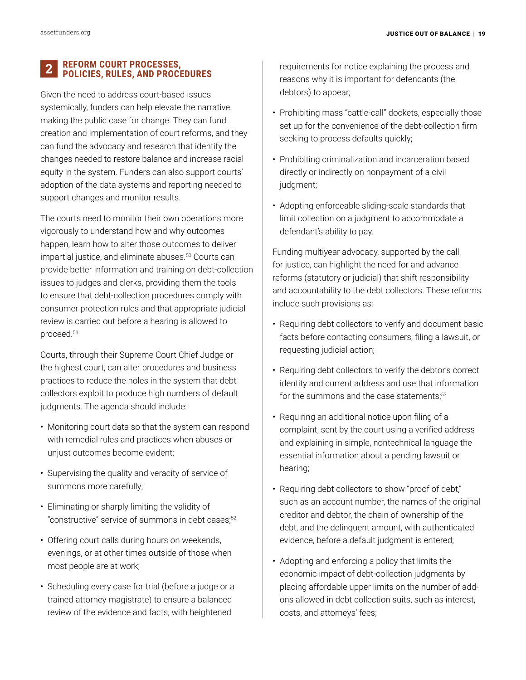#### **REFORM COURT PROCESSES, POLICIES, RULES, AND PROCEDURES** 2

Given the need to address court-based issues systemically, funders can help elevate the narrative making the public case for change. They can fund creation and implementation of court reforms, and they can fund the advocacy and research that identify the changes needed to restore balance and increase racial equity in the system. Funders can also support courts' adoption of the data systems and reporting needed to support changes and monitor results.

The courts need to monitor their own operations more vigorously to understand how and why outcomes happen, learn how to alter those outcomes to deliver impartial justice, and eliminate abuses.<sup>50</sup> Courts can provide better information and training on debt-collection issues to judges and clerks, providing them the tools to ensure that debt-collection procedures comply with consumer protection rules and that appropriate judicial review is carried out before a hearing is allowed to proceed.51

Courts, through their Supreme Court Chief Judge or the highest court, can alter procedures and business practices to reduce the holes in the system that debt collectors exploit to produce high numbers of default judgments. The agenda should include:

- Monitoring court data so that the system can respond with remedial rules and practices when abuses or unjust outcomes become evident;
- Supervising the quality and veracity of service of summons more carefully;
- Eliminating or sharply limiting the validity of "constructive" service of summons in debt cases;<sup>52</sup>
- Offering court calls during hours on weekends, evenings, or at other times outside of those when most people are at work;
- Scheduling every case for trial (before a judge or a trained attorney magistrate) to ensure a balanced review of the evidence and facts, with heightened

requirements for notice explaining the process and reasons why it is important for defendants (the debtors) to appear;

- Prohibiting mass "cattle-call" dockets, especially those set up for the convenience of the debt-collection firm seeking to process defaults quickly;
- Prohibiting criminalization and incarceration based directly or indirectly on nonpayment of a civil judgment;
- Adopting enforceable sliding-scale standards that limit collection on a judgment to accommodate a defendant's ability to pay.

Funding multiyear advocacy, supported by the call for justice, can highlight the need for and advance reforms (statutory or judicial) that shift responsibility and accountability to the debt collectors. These reforms include such provisions as:

- Requiring debt collectors to verify and document basic facts before contacting consumers, filing a lawsuit, or requesting judicial action;
- Requiring debt collectors to verify the debtor's correct identity and current address and use that information for the summons and the case statements:<sup>53</sup>
- Requiring an additional notice upon filing of a complaint, sent by the court using a verified address and explaining in simple, nontechnical language the essential information about a pending lawsuit or hearing;
- Requiring debt collectors to show "proof of debt," such as an account number, the names of the original creditor and debtor, the chain of ownership of the debt, and the delinquent amount, with authenticated evidence, before a default judgment is entered;
- Adopting and enforcing a policy that limits the economic impact of debt-collection judgments by placing affordable upper limits on the number of addons allowed in debt collection suits, such as interest, costs, and attorneys' fees;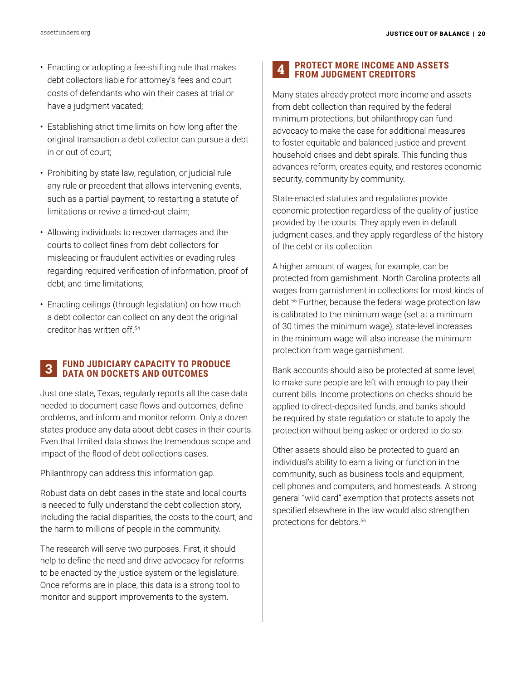- Enacting or adopting a fee-shifting rule that makes debt collectors liable for attorney's fees and court costs of defendants who win their cases at trial or have a judgment vacated;
- Establishing strict time limits on how long after the original transaction a debt collector can pursue a debt in or out of court;
- Prohibiting by state law, regulation, or judicial rule any rule or precedent that allows intervening events, such as a partial payment, to restarting a statute of limitations or revive a timed-out claim;
- Allowing individuals to recover damages and the courts to collect fines from debt collectors for misleading or fraudulent activities or evading rules regarding required verification of information, proof of debt, and time limitations;
- Enacting ceilings (through legislation) on how much a debt collector can collect on any debt the original creditor has written off.54

#### **FUND JUDICIARY CAPACITY TO PRODUCE DATA ON DOCKETS AND OUTCOMES** 3

Just one state, Texas, regularly reports all the case data needed to document case flows and outcomes, define problems, and inform and monitor reform. Only a dozen states produce any data about debt cases in their courts. Even that limited data shows the tremendous scope and impact of the flood of debt collections cases.

Philanthropy can address this information gap.

Robust data on debt cases in the state and local courts is needed to fully understand the debt collection story, including the racial disparities, the costs to the court, and the harm to millions of people in the community.

The research will serve two purposes. First, it should help to define the need and drive advocacy for reforms to be enacted by the justice system or the legislature. Once reforms are in place, this data is a strong tool to monitor and support improvements to the system.

#### **PROTECT MORE INCOME AND ASSETS FROM JUDGMENT CREDITORS** 4

Many states already protect more income and assets from debt collection than required by the federal minimum protections, but philanthropy can fund advocacy to make the case for additional measures to foster equitable and balanced justice and prevent household crises and debt spirals. This funding thus advances reform, creates equity, and restores economic security, community by community.

State-enacted statutes and regulations provide economic protection regardless of the quality of justice provided by the courts. They apply even in default judgment cases, and they apply regardless of the history of the debt or its collection.

A higher amount of wages, for example, can be protected from garnishment. North Carolina protects all wages from garnishment in collections for most kinds of debt.55 Further, because the federal wage protection law is calibrated to the minimum wage (set at a minimum of 30 times the minimum wage), state-level increases in the minimum wage will also increase the minimum protection from wage garnishment.

Bank accounts should also be protected at some level, to make sure people are left with enough to pay their current bills. Income protections on checks should be applied to direct-deposited funds, and banks should be required by state regulation or statute to apply the protection without being asked or ordered to do so.

Other assets should also be protected to guard an individual's ability to earn a living or function in the community, such as business tools and equipment, cell phones and computers, and homesteads. A strong general "wild card" exemption that protects assets not specified elsewhere in the law would also strengthen protections for debtors.56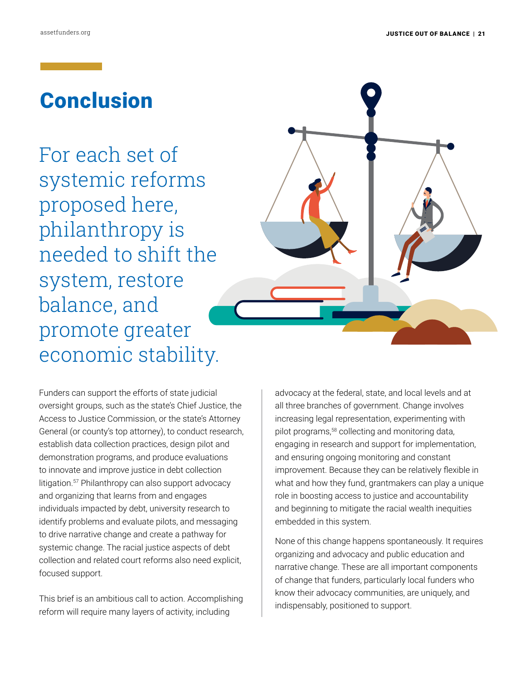# Conclusion

For each set of systemic reforms proposed here, philanthropy is needed to shift the system, restore balance, and promote greater economic stability.



Funders can support the efforts of state judicial oversight groups, such as the state's Chief Justice, the Access to Justice Commission, or the state's Attorney General (or county's top attorney), to conduct research, establish data collection practices, design pilot and demonstration programs, and produce evaluations to innovate and improve justice in debt collection litigation.<sup>57</sup> Philanthropy can also support advocacy and organizing that learns from and engages individuals impacted by debt, university research to identify problems and evaluate pilots, and messaging to drive narrative change and create a pathway for systemic change. The racial justice aspects of debt collection and related court reforms also need explicit, focused support.

This brief is an ambitious call to action. Accomplishing reform will require many layers of activity, including

advocacy at the federal, state, and local levels and at all three branches of government. Change involves increasing legal representation, experimenting with pilot programs,58 collecting and monitoring data, engaging in research and support for implementation, and ensuring ongoing monitoring and constant improvement. Because they can be relatively flexible in what and how they fund, grantmakers can play a unique role in boosting access to justice and accountability and beginning to mitigate the racial wealth inequities embedded in this system.

None of this change happens spontaneously. It requires organizing and advocacy and public education and narrative change. These are all important components of change that funders, particularly local funders who know their advocacy communities, are uniquely, and indispensably, positioned to support.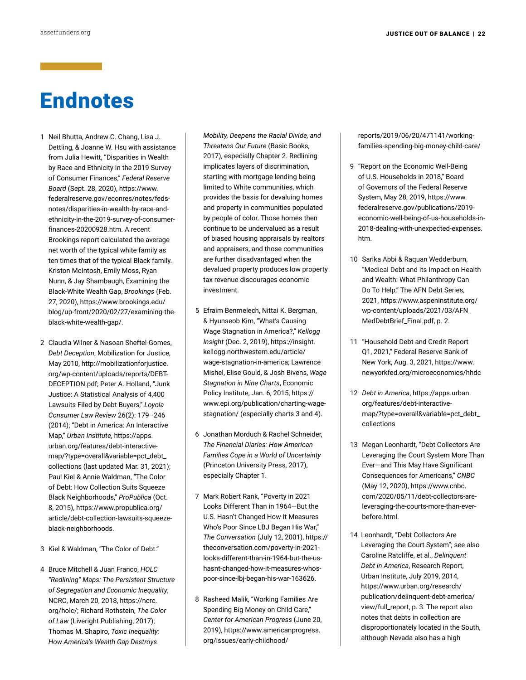# Endnotes

- 1 Neil Bhutta, Andrew C. Chang, Lisa J. Dettling, & Joanne W. Hsu with assistance from Julia Hewitt, "Disparities in Wealth by Race and Ethnicity in the 2019 Survey of Consumer Finances," *Federal Reserve Board* (Sept. 28, 2020), [https://www.](https://www.federalreserve.gov/econres/notes/feds-notes/disparities-in-wealth-by-race-and-ethnicity-in-the-2019-survey-of-consumer-finances-20200928.htm) [federalreserve.gov/econres/notes/feds](https://www.federalreserve.gov/econres/notes/feds-notes/disparities-in-wealth-by-race-and-ethnicity-in-the-2019-survey-of-consumer-finances-20200928.htm)[notes/disparities-in-wealth-by-race-and](https://www.federalreserve.gov/econres/notes/feds-notes/disparities-in-wealth-by-race-and-ethnicity-in-the-2019-survey-of-consumer-finances-20200928.htm)[ethnicity-in-the-2019-survey-of-consumer](https://www.federalreserve.gov/econres/notes/feds-notes/disparities-in-wealth-by-race-and-ethnicity-in-the-2019-survey-of-consumer-finances-20200928.htm)[finances-20200928.htm](https://www.federalreserve.gov/econres/notes/feds-notes/disparities-in-wealth-by-race-and-ethnicity-in-the-2019-survey-of-consumer-finances-20200928.htm). A recent Brookings report calculated the average net worth of the typical white family as ten times that of the typical Black family. Kriston McIntosh, Emily Moss, Ryan Nunn, & Jay Shambaugh, Examining the Black-White Wealth Gap, *Brookings* (Feb. 27, 2020), [https://www.brookings.edu/](https://www.brookings.edu/blog/up-front/2020/02/27/examining-the-black-white-wealth-gap/) [blog/up-front/2020/02/27/examining-the](https://www.brookings.edu/blog/up-front/2020/02/27/examining-the-black-white-wealth-gap/)[black-white-wealth-gap/](https://www.brookings.edu/blog/up-front/2020/02/27/examining-the-black-white-wealth-gap/).
- 2 Claudia Wilner & Nasoan Sheftel-Gomes, *Debt Deception*, Mobilization for Justice, May 2010, [http://mobilizationforjustice.](http://mobilizationforjustice.org/wp-content/uploads/reports/DEBT-DECEPTION.pdf) [org/wp-content/uploads/reports/DEBT-](http://mobilizationforjustice.org/wp-content/uploads/reports/DEBT-DECEPTION.pdf)[DECEPTION.pdf](http://mobilizationforjustice.org/wp-content/uploads/reports/DEBT-DECEPTION.pdf); Peter A. Holland, "Junk Justice: A Statistical Analysis of 4,400 Lawsuits Filed by Debt Buyers," *Loyola Consumer Law Review* 26(2): 179–246 (2014); "Debt in America: An Interactive Map," *Urban Institute*, [https://apps.](https://apps.urban.org/features/debt-interactive-map/?type=overall&variable=pct_debt_collections) [urban.org/features/debt-interactive](https://apps.urban.org/features/debt-interactive-map/?type=overall&variable=pct_debt_collections)[map/?type=overall&variable=pct\\_debt\\_](https://apps.urban.org/features/debt-interactive-map/?type=overall&variable=pct_debt_collections) [collections](https://apps.urban.org/features/debt-interactive-map/?type=overall&variable=pct_debt_collections) (last updated Mar. 31, 2021); Paul Kiel & Annie Waldman, "The Color of Debt: How Collection Suits Squeeze Black Neighborhoods," *ProPublica* (Oct. 8, 2015), [https://www.propublica.org/](https://www.propublica.org/article/debt-collection-lawsuits-squeeze-black-neighborhoods) [article/debt-collection-lawsuits-squeeze](https://www.propublica.org/article/debt-collection-lawsuits-squeeze-black-neighborhoods)[black-neighborhoods](https://www.propublica.org/article/debt-collection-lawsuits-squeeze-black-neighborhoods).
- 3 Kiel & Waldman, "The Color of Debt."
- 4 Bruce Mitchell & Juan Franco, *HOLC "Redlining" Maps: The Persistent Structure of Segregation and Economic Inequality*, NCRC, March 20, 2018, [https://ncrc.](https://ncrc.org/holc/) [org/holc/;](https://ncrc.org/holc/) Richard Rothstein, *The Color of Law* (Liveright Publishing, 2017); Thomas M. Shapiro, *Toxic Inequality: How America's Wealth Gap Destroys*

*Mobility, Deepens the Racial Divide, and Threatens Our Future* (Basic Books, 2017), especially Chapter 2. Redlining implicates layers of discrimination, starting with mortgage lending being limited to White communities, which provides the basis for devaluing homes and property in communities populated by people of color. Those homes then continue to be undervalued as a result of biased housing appraisals by realtors and appraisers, and those communities are further disadvantaged when the devalued property produces low property tax revenue discourages economic investment.

- 5 Efraim Benmelech, Nittai K. Bergman, & Hyunseob Kim, "What's Causing Wage Stagnation in America?," *Kellogg Insight* (Dec. 2, 2019), [https://insight.](https://insight.kellogg.northwestern.edu/article/wage-stagnation-in-america) [kellogg.northwestern.edu/article/](https://insight.kellogg.northwestern.edu/article/wage-stagnation-in-america) [wage-stagnation-in-america](https://insight.kellogg.northwestern.edu/article/wage-stagnation-in-america); Lawrence Mishel, Elise Gould, & Josh Bivens, *Wage Stagnation in Nine Charts*, Economic Policy Institute, Jan. 6, 2015, [https://](https://www.epi.org/publication/charting-wage-stagnation/) [www.epi.org/publication/charting-wage](https://www.epi.org/publication/charting-wage-stagnation/)[stagnation/](https://www.epi.org/publication/charting-wage-stagnation/) (especially charts 3 and 4).
- 6 Jonathan Morduch & Rachel Schneider, *The Financial Diaries: How American Families Cope in a World of Uncertainty*  (Princeton University Press, 2017), especially Chapter 1.
- 7 Mark Robert Rank, "Poverty in 2021 Looks Different Than in 1964—But the U.S. Hasn't Changed How It Measures Who's Poor Since LBJ Began His War," *The Conversation* (July 12, 2001), [https://](https://theconversation.com/poverty-in-2021-looks-different-than-in-1964-but-the-us-hasnt-changed-how-it-measures-whos-poor-since-lbj-began-his-war-163626) [theconversation.com/poverty-in-2021](https://theconversation.com/poverty-in-2021-looks-different-than-in-1964-but-the-us-hasnt-changed-how-it-measures-whos-poor-since-lbj-began-his-war-163626) [looks-different-than-in-1964-but-the-us](https://theconversation.com/poverty-in-2021-looks-different-than-in-1964-but-the-us-hasnt-changed-how-it-measures-whos-poor-since-lbj-began-his-war-163626)[hasnt-changed-how-it-measures-whos](https://theconversation.com/poverty-in-2021-looks-different-than-in-1964-but-the-us-hasnt-changed-how-it-measures-whos-poor-since-lbj-began-his-war-163626)[poor-since-lbj-began-his-war-163626](https://theconversation.com/poverty-in-2021-looks-different-than-in-1964-but-the-us-hasnt-changed-how-it-measures-whos-poor-since-lbj-began-his-war-163626).
- 8 Rasheed Malik, "Working Families Are Spending Big Money on Child Care," *Center for American Progress* (June 20, 2019), [https://www.americanprogress.](https://www.americanprogress.org/issues/early-childhood/reports/2019/06/20/471141/working-families-spending-big-money-child-care/) [org/issues/early-childhood/](https://www.americanprogress.org/issues/early-childhood/reports/2019/06/20/471141/working-families-spending-big-money-child-care/)

[reports/2019/06/20/471141/working](https://www.americanprogress.org/issues/early-childhood/reports/2019/06/20/471141/working-families-spending-big-money-child-care/)[families-spending-big-money-child-care/](https://www.americanprogress.org/issues/early-childhood/reports/2019/06/20/471141/working-families-spending-big-money-child-care/)

- 9 "Report on the Economic Well-Being of U.S. Households in 2018," Board of Governors of the Federal Reserve System, May 28, 2019, [https://www.](https://www.federalreserve.gov/publications/2019-economic-well-being-of-us-households-in-2018-dealing-with-unexpected-expenses.htm) [federalreserve.gov/publications/2019](https://www.federalreserve.gov/publications/2019-economic-well-being-of-us-households-in-2018-dealing-with-unexpected-expenses.htm) [economic-well-being-of-us-households-in-](https://www.federalreserve.gov/publications/2019-economic-well-being-of-us-households-in-2018-dealing-with-unexpected-expenses.htm)[2018-dealing-with-unexpected-expenses.](https://www.federalreserve.gov/publications/2019-economic-well-being-of-us-households-in-2018-dealing-with-unexpected-expenses.htm) [htm](https://www.federalreserve.gov/publications/2019-economic-well-being-of-us-households-in-2018-dealing-with-unexpected-expenses.htm).
- 10 Sarika Abbi & Raquan Wedderburn, "Medical Debt and its Impact on Health and Wealth: What Philanthropy Can Do To Help," The AFN Debt Series, 2021, [https://www.aspeninstitute.org/](https://www.aspeninstitute.org/wp-content/uploads/2021/03/AFN_MedDebtBrief_Final.pdf) [wp-content/uploads/2021/03/AFN\\_](https://www.aspeninstitute.org/wp-content/uploads/2021/03/AFN_MedDebtBrief_Final.pdf) [MedDebtBrief\\_Final.pdf](https://www.aspeninstitute.org/wp-content/uploads/2021/03/AFN_MedDebtBrief_Final.pdf), p. 2.
- 11 "Household Debt and Credit Report Q1, 2021," Federal Reserve Bank of New York, Aug. 3, 2021, [https://www.](https://www.newyorkfed.org/microeconomics/hhdc) [newyorkfed.org/microeconomics/hhdc](https://www.newyorkfed.org/microeconomics/hhdc)
- 12 *Debt in America*, [https://apps.urban.](https://apps.urban.org/features/debt-interactive-map/?type=overall&variable=pct_debt_collections) [org/features/debt-interactive](https://apps.urban.org/features/debt-interactive-map/?type=overall&variable=pct_debt_collections)[map/?type=overall&variable=pct\\_debt\\_](https://apps.urban.org/features/debt-interactive-map/?type=overall&variable=pct_debt_collections) [collections](https://apps.urban.org/features/debt-interactive-map/?type=overall&variable=pct_debt_collections)
- 13 Megan Leonhardt, "Debt Collectors Are Leveraging the Court System More Than Ever—and This May Have Significant Consequences for Americans," *CNBC*  (May 12, 2020), [https://www.cnbc.](https://www.cnbc.com/2020/05/11/debt-collectors-are-leveraging-the-courts-more-than-ever-before.html) [com/2020/05/11/debt-collectors-are](https://www.cnbc.com/2020/05/11/debt-collectors-are-leveraging-the-courts-more-than-ever-before.html)[leveraging-the-courts-more-than-ever](https://www.cnbc.com/2020/05/11/debt-collectors-are-leveraging-the-courts-more-than-ever-before.html)[before.html.](https://www.cnbc.com/2020/05/11/debt-collectors-are-leveraging-the-courts-more-than-ever-before.html)
- 14 Leonhardt, "Debt Collectors Are Leveraging the Court System"; see also Caroline Ratcliffe, et al., *Delinquent Debt in America*, Research Report, Urban Institute, July 2019, 2014, [https://www.urban.org/research/](https://www.urban.org/research/publication/delinquent-debt-america/view/full_report) [publication/delinquent-debt-america/](https://www.urban.org/research/publication/delinquent-debt-america/view/full_report) [view/full\\_report](https://www.urban.org/research/publication/delinquent-debt-america/view/full_report), p. 3. The report also notes that debts in collection are disproportionately located in the South, although Nevada also has a high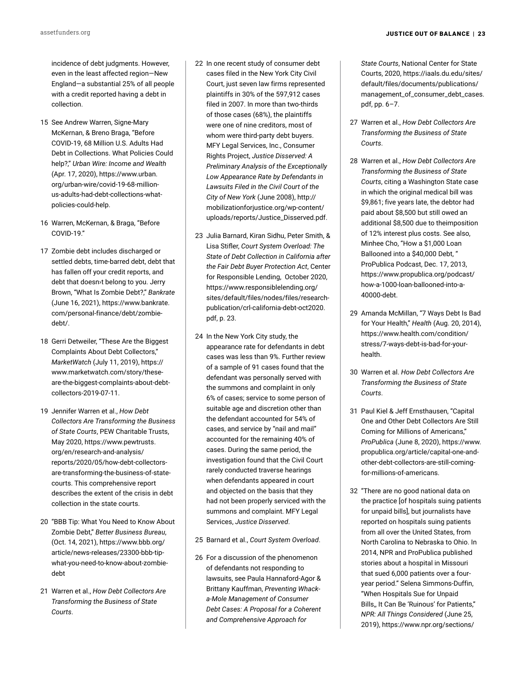incidence of debt judgments. However, even in the least affected region—New England—a substantial 25% of all people with a credit reported having a debt in collection.

- 15 See Andrew Warren, Signe-Mary McKernan, & Breno Braga, "Before COVID-19, 68 Million U.S. Adults Had Debt in Collections. What Policies Could help?," *Urban Wire: Income and Wealth* (Apr. 17, 2020), [https://www.urban.](https://www.urban.org/urban-wire/covid-19-68-million-us-adults-had-debt-collections-what-policies-could-help) [org/urban-wire/covid-19-68-million](https://www.urban.org/urban-wire/covid-19-68-million-us-adults-had-debt-collections-what-policies-could-help)[us-adults-had-debt-collections-what](https://www.urban.org/urban-wire/covid-19-68-million-us-adults-had-debt-collections-what-policies-could-help)[policies-could-help](https://www.urban.org/urban-wire/covid-19-68-million-us-adults-had-debt-collections-what-policies-could-help).
- 16 Warren, McKernan, & Braga, "Before COVID-19."
- 17 Zombie debt includes discharged or settled debts, time-barred debt, debt that has fallen off your credit reports, and debt that doesn›t belong to you. Jerry Brown, "What Is Zombie Debt?," *Bankrate* (June 16, 2021), [https://www.bankrate.](https://www.bankrate.com/personal-finance/debt/zombie-debt/) [com/personal-finance/debt/zombie](https://www.bankrate.com/personal-finance/debt/zombie-debt/)[debt/](https://www.bankrate.com/personal-finance/debt/zombie-debt/).
- 18 Gerri Detweiler, "These Are the Biggest Complaints About Debt Collectors," *MarketWatch* (July 11, 2019), [https://](https://www.marketwatch.com/story/these-are-the-biggest-complaints-about-debt-collectors-2019-07-11) [www.marketwatch.com/story/these](https://www.marketwatch.com/story/these-are-the-biggest-complaints-about-debt-collectors-2019-07-11)[are-the-biggest-complaints-about-debt](https://www.marketwatch.com/story/these-are-the-biggest-complaints-about-debt-collectors-2019-07-11)[collectors-2019-07-11](https://www.marketwatch.com/story/these-are-the-biggest-complaints-about-debt-collectors-2019-07-11).
- 19 Jennifer Warren et al., *How Debt Collectors Are Transforming the Business of State Courts*, PEW Charitable Trusts, May 2020, [https://www.pewtrusts.](https://www.propublica.org/article/debt-collection-lawsuits-squeeze-black-neighborhoods) [org/en/research-and-analysis/](https://www.propublica.org/article/debt-collection-lawsuits-squeeze-black-neighborhoods) [reports/2020/05/how-debt-collectors](https://www.propublica.org/article/debt-collection-lawsuits-squeeze-black-neighborhoods)[are-transforming-the-business-of-state](https://www.propublica.org/article/debt-collection-lawsuits-squeeze-black-neighborhoods)[courts.](https://www.propublica.org/article/debt-collection-lawsuits-squeeze-black-neighborhoods) This comprehensive report describes the extent of the crisis in debt collection in the state courts.
- 20 "BBB Tip: What You Need to Know About Zombie Debt," *Better Business Bureau*, (Oct. 14, 2021), [https://www.bbb.org/](https://www.bbb.org/article/news-releases/23300-bbb-tip-what-you-need-to-know-about-zombie-debt) [article/news-releases/23300-bbb-tip](https://www.bbb.org/article/news-releases/23300-bbb-tip-what-you-need-to-know-about-zombie-debt)[what-you-need-to-know-about-zombie](https://www.bbb.org/article/news-releases/23300-bbb-tip-what-you-need-to-know-about-zombie-debt)[debt](https://www.bbb.org/article/news-releases/23300-bbb-tip-what-you-need-to-know-about-zombie-debt)
- 21 Warren et al., *How Debt Collectors Are Transforming the Business of State Courts*.
- 22 In one recent study of consumer debt cases filed in the New York City Civil Court, just seven law firms represented plaintiffs in 30% of the 597,912 cases filed in 2007. In more than two-thirds of those cases (68%), the plaintiffs were one of nine creditors, most of whom were third-party debt buyers. MFY Legal Services, Inc., Consumer Rights Project, *Justice Disserved: A Preliminary Analysis of the Exceptionally Low Appearance Rate by Defendants in Lawsuits Filed in the Civil Court of the City of New York* (June 2008), [http://](http://mobilizationforjustice.org/wp-content/uploads/reports/Justice_Disserved.pdf) [mobilizationforjustice.org/wp-content/](http://mobilizationforjustice.org/wp-content/uploads/reports/Justice_Disserved.pdf) [uploads/reports/Justice\\_Disserved.pdf](http://mobilizationforjustice.org/wp-content/uploads/reports/Justice_Disserved.pdf).
- 23 Julia Barnard, Kiran Sidhu, Peter Smith, & Lisa Stifler, *Court System Overload: The State of Debt Collection in California after the Fair Debt Buyer Protection Act*, Center for Responsible Lending, October 2020, [https://www.responsiblelending.org/](https://www.responsiblelending.org/sites/default/files/nodes/files/research-publication/crl-california-debt-oct2020.pdf) [sites/default/files/nodes/files/research](https://www.responsiblelending.org/sites/default/files/nodes/files/research-publication/crl-california-debt-oct2020.pdf)[publication/crl-california-debt-oct2020.](https://www.responsiblelending.org/sites/default/files/nodes/files/research-publication/crl-california-debt-oct2020.pdf) [pdf](https://www.responsiblelending.org/sites/default/files/nodes/files/research-publication/crl-california-debt-oct2020.pdf), p. 23.
- 24 In the New York City study, the appearance rate for defendants in debt cases was less than 9%. Further review of a sample of 91 cases found that the defendant was personally served with the summons and complaint in only 6% of cases; service to some person of suitable age and discretion other than the defendant accounted for 54% of cases, and service by "nail and mail" accounted for the remaining 40% of cases. During the same period, the investigation found that the Civil Court rarely conducted traverse hearings when defendants appeared in court and objected on the basis that they had not been properly serviced with the summons and complaint. MFY Legal Services, *Justice Disserved*.
- 25 Barnard et al., *Court System Overload*.
- 26 For a discussion of the phenomenon of defendants not responding to lawsuits, see Paula Hannaford-Agor & Brittany Kauffman, *Preventing Whacka-Mole Management of Consumer Debt Cases: A Proposal for a Coherent and Comprehensive Approach for*

*State Courts*, National Center for State Courts, 2020, [https://iaals.du.edu/sites/](https://www.propublica.org/article/debt-collection-lawsuits-squeeze-black-neighborhoods) [default/files/documents/publications/](https://www.propublica.org/article/debt-collection-lawsuits-squeeze-black-neighborhoods) [management\\_of\\_consumer\\_debt\\_cases.](https://www.propublica.org/article/debt-collection-lawsuits-squeeze-black-neighborhoods) [pdf](https://www.propublica.org/article/debt-collection-lawsuits-squeeze-black-neighborhoods), pp. 6–7.

- 27 Warren et al., *How Debt Collectors Are Transforming the Business of State Courts*.
- 28 Warren et al., *How Debt Collectors Are Transforming the Business of State Courts*, citing a Washington State case in which the original medical bill was \$9,861; five years late, the debtor had paid about \$8,500 but still owed an additional \$8,500 due to theimposition of 12% interest plus costs. See also, Minhee Cho, "How a \$1,000 Loan Ballooned into a \$40,000 Debt, " ProPublica Podcast, Dec. 17, 2013, [https://www.propublica.org/podcast/](https://www.propublica.org/podcast/how-a-1000-loan-ballooned-into-a-40000-debt) [how-a-1000-loan-ballooned-into-a-](https://www.propublica.org/podcast/how-a-1000-loan-ballooned-into-a-40000-debt)[40000-debt](https://www.propublica.org/podcast/how-a-1000-loan-ballooned-into-a-40000-debt).
- 29 Amanda McMillan, "7 Ways Debt Is Bad for Your Health," *Health* (Aug. 20, 2014), [https://www.health.com/condition/](https://www.health.com/condition/stress/7-ways-debt-is-bad-for-your-health) [stress/7-ways-debt-is-bad-for-your](https://www.health.com/condition/stress/7-ways-debt-is-bad-for-your-health)[health.](https://www.health.com/condition/stress/7-ways-debt-is-bad-for-your-health)
- 30 Warren et al. *How Debt Collectors Are Transforming the Business of State Courts*.
- 31 Paul Kiel & Jeff Ernsthausen, "Capital One and Other Debt Collectors Are Still Coming for Millions of Americans," *ProPublica* (June 8, 2020), [https://www.](https://www.propublica.org/article/capital-one-and-other-debt-collectors-are-still-coming-for-millions-of-americans) [propublica.org/article/capital-one-and](https://www.propublica.org/article/capital-one-and-other-debt-collectors-are-still-coming-for-millions-of-americans)[other-debt-collectors-are-still-coming](https://www.propublica.org/article/capital-one-and-other-debt-collectors-are-still-coming-for-millions-of-americans)[for-millions-of-americans.](https://www.propublica.org/article/capital-one-and-other-debt-collectors-are-still-coming-for-millions-of-americans)
- 32 "There are no good national data on the practice [of hospitals suing patients for unpaid bills], but journalists have reported on hospitals suing patients from all over the United States, from North Carolina to Nebraska to Ohio. In 2014, NPR and ProPublica published stories about a hospital in Missouri that sued 6,000 patients over a fouryear period." Selena Simmons-Duffin, "When Hospitals Sue for Unpaid Bills,, It Can Be 'Ruinous' for Patients," *NPR: All Things Considered* (June 25, 2019), [https://www.npr.org/sections/](https://www.npr.org/sections/health-shots/2019/06/25/735385283/hospitals-earn-little-from-suing-for-unpaid-bills-for-patients-it-can-be-ruinous)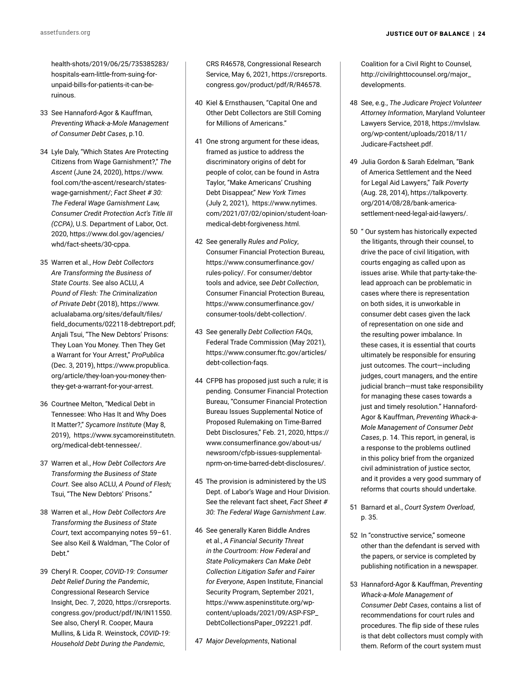[health-shots/2019/06/25/735385283/](https://www.npr.org/sections/health-shots/2019/06/25/735385283/hospitals-earn-little-from-suing-for-unpaid-bills-for-patients-it-can-be-ruinous) [hospitals-earn-little-from-suing-for](https://www.npr.org/sections/health-shots/2019/06/25/735385283/hospitals-earn-little-from-suing-for-unpaid-bills-for-patients-it-can-be-ruinous)[unpaid-bills-for-patients-it-can-be](https://www.npr.org/sections/health-shots/2019/06/25/735385283/hospitals-earn-little-from-suing-for-unpaid-bills-for-patients-it-can-be-ruinous)[ruinous](https://www.npr.org/sections/health-shots/2019/06/25/735385283/hospitals-earn-little-from-suing-for-unpaid-bills-for-patients-it-can-be-ruinous).

- 33 See Hannaford-Agor & Kauffman, *Preventing Whack-a-Mole Management of Consumer Debt Cases*, p.10.
- 34 Lyle Daly, "Which States Are Protecting Citizens from Wage Garnishment?," *The Ascent* (June 24, 2020), [https://www.](https://www.fool.com/the-ascent/research/states-wage-garnishment/) [fool.com/the-ascent/research/states](https://www.fool.com/the-ascent/research/states-wage-garnishment/)[wage-garnishment/](https://www.fool.com/the-ascent/research/states-wage-garnishment/); *Fact Sheet # 30: The Federal Wage Garnishment Law, Consumer Credit Protection Act's Title III (CCPA)*, U.S. Department of Labor, Oct. 2020, [https://www.dol.gov/agencies/](https://www.dol.gov/agencies/whd/fact-sheets/30-cppa) [whd/fact-sheets/30-cppa.](https://www.dol.gov/agencies/whd/fact-sheets/30-cppa)
- 35 Warren et al., *How Debt Collectors Are Transforming the Business of State Courts*. See also ACLU, *A Pound of Flesh: The Criminalization of Private Debt* (2018), [https://www.](https://www.aclualabama.org/sites/default/files/field_documents/022118-debtreport.pdf) [aclualabama.org/sites/default/files/](https://www.aclualabama.org/sites/default/files/field_documents/022118-debtreport.pdf) [field\\_documents/022118-debtreport.pdf](https://www.aclualabama.org/sites/default/files/field_documents/022118-debtreport.pdf); Anjali Tsui, "The New Debtors' Prisons: They Loan You Money. Then They Get a Warrant for Your Arrest," *ProPublica* (Dec. 3, 2019), [https://www.propublica.](https://www.propublica.org/article/they-loan-you-money-then-they-get-a-warrant-for-your-arrest) [org/article/they-loan-you-money-then](https://www.propublica.org/article/they-loan-you-money-then-they-get-a-warrant-for-your-arrest)[they-get-a-warrant-for-your-arrest.](https://www.propublica.org/article/they-loan-you-money-then-they-get-a-warrant-for-your-arrest)
- 36 Courtnee Melton, "Medical Debt in Tennessee: Who Has It and Why Does It Matter?," *Sycamore Institute* (May 8, 2019), [https://www.sycamoreinstitutetn.](https://www.sycamoreinstitutetn.org/medical-debt-tennessee/) [org/medical-debt-tennessee/](https://www.sycamoreinstitutetn.org/medical-debt-tennessee/).
- 37 Warren et al., *How Debt Collectors Are Transforming the Business of State Court*. See also ACLU, *A Pound of Flesh;* Tsui, "The New Debtors' Prisons."
- 38 Warren et al., *How Debt Collectors Are Transforming the Business of State Court*, text accompanying notes 59–61. See also Keil & Waldman, "The Color of Deht"
- 39 Cheryl R. Cooper, *COVID-19: Consumer Debt Relief During the Pandemic*, Congressional Research Service Insight, Dec. 7, 2020, [https://crsreports.](https://crsreports.congress.gov/product/pdf/IN/IN11550) [congress.gov/product/pdf/IN/IN11550](https://crsreports.congress.gov/product/pdf/IN/IN11550). See also, Cheryl R. Cooper, Maura Mullins, & Lida R. Weinstock, *COVID-19: Household Debt During the Pandemic*,

CRS R46578, Congressional Research Service, May 6, 2021, [https://crsreports.](https://crsreports.congress.gov/product/pdf/R/R46578) [congress.gov/product/pdf/R/R46578](https://crsreports.congress.gov/product/pdf/R/R46578).

- 40 Kiel & Ernsthausen, "Capital One and Other Debt Collectors are Still Coming for Millions of Americans."
- 41 One strong argument for these ideas, framed as justice to address the discriminatory origins of debt for people of color, can be found in Astra Taylor, "Make Americans' Crushing Debt Disappear," *New York Times* (July 2, 2021), [https://www.nytimes.](https://www.nytimes.com/2021/07/02/opinion/student-loan-medical-debt-forgiveness.html) [com/2021/07/02/opinion/student-loan](https://www.nytimes.com/2021/07/02/opinion/student-loan-medical-debt-forgiveness.html)[medical-debt-forgiveness.html.](https://www.nytimes.com/2021/07/02/opinion/student-loan-medical-debt-forgiveness.html)
- 42 See generally *Rules and Policy*, Consumer Financial Protection Bureau, [https://www.consumerfinance.gov/](https://www.consumerfinance.gov/rules-policy/) [rules-policy/.](https://www.consumerfinance.gov/rules-policy/) For consumer/debtor tools and advice, see *Debt Collection*, Consumer Financial Protection Bureau, [https://www.consumerfinance.gov/](https://www.consumerfinance.gov/consumer-tools/debt-collection/) [consumer-tools/debt-collection/.](https://www.consumerfinance.gov/consumer-tools/debt-collection/)
- 43 See generally *Debt Collection FAQs*, Federal Trade Commission (May 2021), [https://www.consumer.ftc.gov/articles/](https://www.consumer.ftc.gov/articles/debt-collection-faqs) [debt-collection-faqs.](https://www.consumer.ftc.gov/articles/debt-collection-faqs)
- 44 CFPB has proposed just such a rule; it is pending. Consumer Financial Protection Bureau, "Consumer Financial Protection Bureau Issues Supplemental Notice of Proposed Rulemaking on Time-Barred Debt Disclosures," Feb. 21, 2020, [https://](https://www.consumerfinance.gov/about-us/newsroom/cfpb-issues-supplemental-nprm-on-time-barred-debt-disclosures/) [www.consumerfinance.gov/about-us/](https://www.consumerfinance.gov/about-us/newsroom/cfpb-issues-supplemental-nprm-on-time-barred-debt-disclosures/) [newsroom/cfpb-issues-supplemental](https://www.consumerfinance.gov/about-us/newsroom/cfpb-issues-supplemental-nprm-on-time-barred-debt-disclosures/)[nprm-on-time-barred-debt-disclosures/](https://www.consumerfinance.gov/about-us/newsroom/cfpb-issues-supplemental-nprm-on-time-barred-debt-disclosures/).
- 45 The provision is administered by the US Dept. of Labor's Wage and Hour Division. See the relevant fact sheet, *Fact Sheet # 30: The Federal Wage Garnishment Law*.
- 46 See generally Karen Biddle Andres et al., *A Financial Security Threat in the Courtroom: How Federal and State Policymakers Can Make Debt Collection Litigation Safer and Fairer for Everyone*, Aspen Institute, Financial Security Program, September 2021, [https://www.aspeninstitute.org/wp](https://www.aspeninstitute.org/wp-content/uploads/2021/09/ASP-FSP_DebtCollectionsPaper_092221.pdf)[content/uploads/2021/09/ASP-FSP\\_](https://www.aspeninstitute.org/wp-content/uploads/2021/09/ASP-FSP_DebtCollectionsPaper_092221.pdf) [DebtCollectionsPaper\\_092221.pdf.](https://www.aspeninstitute.org/wp-content/uploads/2021/09/ASP-FSP_DebtCollectionsPaper_092221.pdf)
- 47 *Major Developments*, National

Coalition for a Civil Right to Counsel. [http://civilrighttocounsel.org/major\\_](http://civilrighttocounsel.org/major_developments) [developments.](http://civilrighttocounsel.org/major_developments)

- 48 See, e.g., *The Judicare Project Volunteer Attorney Information*, Maryland Volunteer Lawyers Service, 2018, [https://mvlslaw.](https://mvlslaw.org/wp-content/uploads/2018/11/Judicare-Factsheet.pdf) [org/wp-content/uploads/2018/11/](https://mvlslaw.org/wp-content/uploads/2018/11/Judicare-Factsheet.pdf) [Judicare-Factsheet.pdf](https://mvlslaw.org/wp-content/uploads/2018/11/Judicare-Factsheet.pdf).
- 49 Julia Gordon & Sarah Edelman, "Bank of America Settlement and the Need for Legal Aid Lawyers," *Talk Poverty* (Aug. 28, 2014), [https://talkpoverty.](https://talkpoverty.org/2014/08/28/bank-america-settlement-need-legal-aid-lawyers/) [org/2014/08/28/bank-america](https://talkpoverty.org/2014/08/28/bank-america-settlement-need-legal-aid-lawyers/)[settlement-need-legal-aid-lawyers/.](https://talkpoverty.org/2014/08/28/bank-america-settlement-need-legal-aid-lawyers/)
- 50 " Our system has historically expected the litigants, through their counsel, to drive the pace of civil litigation, with courts engaging as called upon as issues arise. While that party-take-thelead approach can be problematic in cases where there is representation on both sides, it is unworkable in consumer debt cases given the lack of representation on one side and the resulting power imbalance. In these cases, it is essential that courts ultimately be responsible for ensuring just outcomes. The court—including judges, court managers, and the entire judicial branch—must take responsibility for managing these cases towards a just and timely resolution." Hannaford-Agor & Kauffman, *Preventing Whack-a-Mole Management of Consumer Debt Cases*, p. 14. This report, in general, is a response to the problems outlined in this policy brief from the organized civil administration of justice sector, and it provides a very good summary of reforms that courts should undertake.
- 51 Barnard et al., *Court System Overload*, p. 35.
- 52 In "constructive service," someone other than the defendant is served with the papers, or service is completed by publishing notification in a newspaper.
- 53 Hannaford-Agor & Kauffman, *Preventing Whack-a-Mole Management of Consumer Debt Cases*, contains a list of recommendations for court rules and procedures. The flip side of these rules is that debt collectors must comply with them. Reform of the court system must